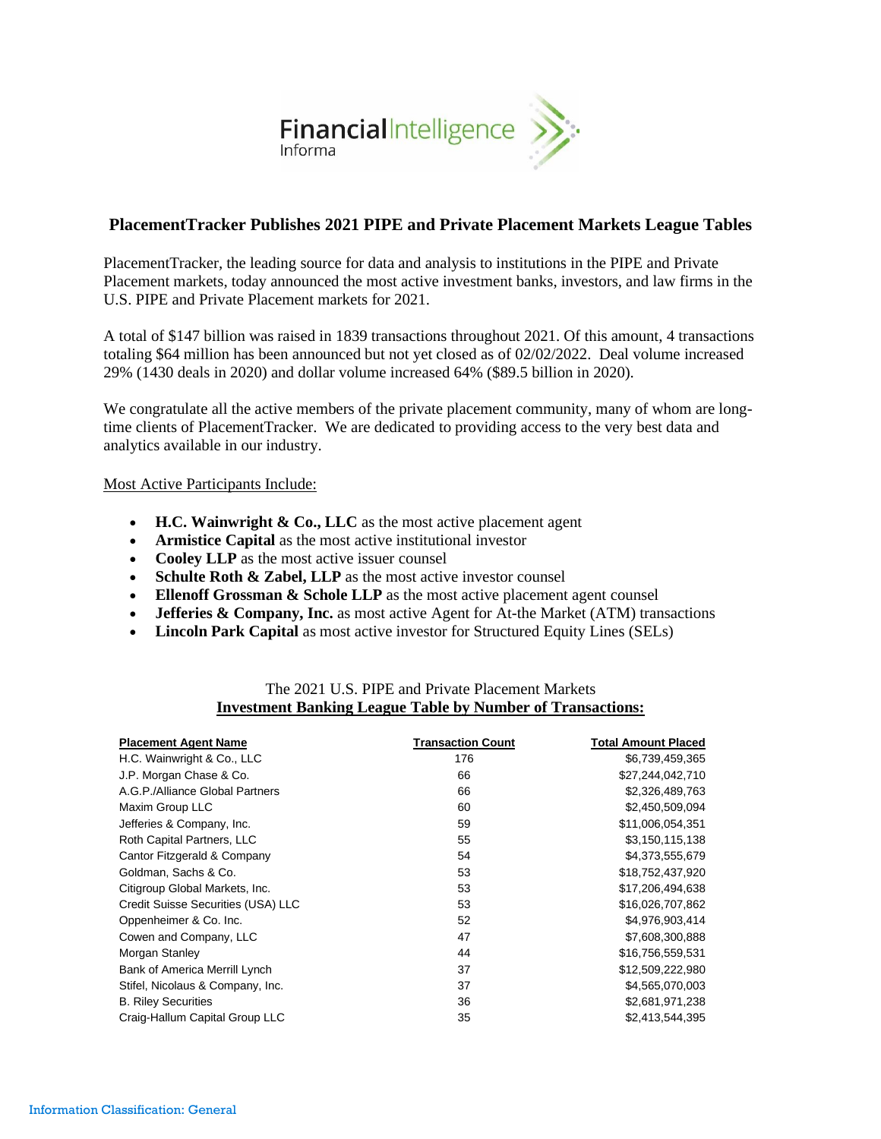

# **PlacementTracker Publishes 2021 PIPE and Private Placement Markets League Tables**

PlacementTracker, the leading source for data and analysis to institutions in the PIPE and Private Placement markets, today announced the most active investment banks, investors, and law firms in the U.S. PIPE and Private Placement markets for 2021.

A total of \$147 billion was raised in 1839 transactions throughout 2021. Of this amount, 4 transactions totaling \$64 million has been announced but not yet closed as of 02/02/2022. Deal volume increased 29% (1430 deals in 2020) and dollar volume increased 64% (\$89.5 billion in 2020).

We congratulate all the active members of the private placement community, many of whom are longtime clients of PlacementTracker. We are dedicated to providing access to the very best data and analytics available in our industry.

#### Most Active Participants Include:

- **H.C. Wainwright & Co., LLC** as the most active placement agent
- **Armistice Capital** as the most active institutional investor
- **Cooley LLP** as the most active issuer counsel
- **Schulte Roth & Zabel, LLP** as the most active investor counsel
- **Ellenoff Grossman & Schole LLP** as the most active placement agent counsel
- **Jefferies & Company, Inc.** as most active Agent for At-the Market (ATM) transactions
- **Lincoln Park Capital** as most active investor for Structured Equity Lines (SELs)

| <b>Placement Agent Name</b>        | <b>Transaction Count</b> | <b>Total Amount Placed</b> |
|------------------------------------|--------------------------|----------------------------|
| H.C. Wainwright & Co., LLC         | 176                      | \$6,739,459,365            |
| J.P. Morgan Chase & Co.            | 66                       | \$27,244,042,710           |
| A.G.P./Alliance Global Partners    | 66                       | \$2,326,489,763            |
| Maxim Group LLC                    | 60                       | \$2,450,509,094            |
| Jefferies & Company, Inc.          | 59                       | \$11,006,054,351           |
| Roth Capital Partners, LLC         | 55                       | \$3,150,115,138            |
| Cantor Fitzgerald & Company        | 54                       | \$4,373,555,679            |
| Goldman, Sachs & Co.               | 53                       | \$18,752,437,920           |
| Citigroup Global Markets, Inc.     | 53                       | \$17,206,494,638           |
| Credit Suisse Securities (USA) LLC | 53                       | \$16,026,707,862           |
| Oppenheimer & Co. Inc.             | 52                       | \$4,976,903,414            |
| Cowen and Company, LLC             | 47                       | \$7,608,300,888            |
| Morgan Stanley                     | 44                       | \$16,756,559,531           |
| Bank of America Merrill Lynch      | 37                       | \$12,509,222,980           |
| Stifel, Nicolaus & Company, Inc.   | 37                       | \$4,565,070,003            |
| <b>B. Riley Securities</b>         | 36                       | \$2,681,971,238            |
| Craig-Hallum Capital Group LLC     | 35                       | \$2,413,544,395            |

## The 2021 U.S. PIPE and Private Placement Markets **Investment Banking League Table by Number of Transactions:**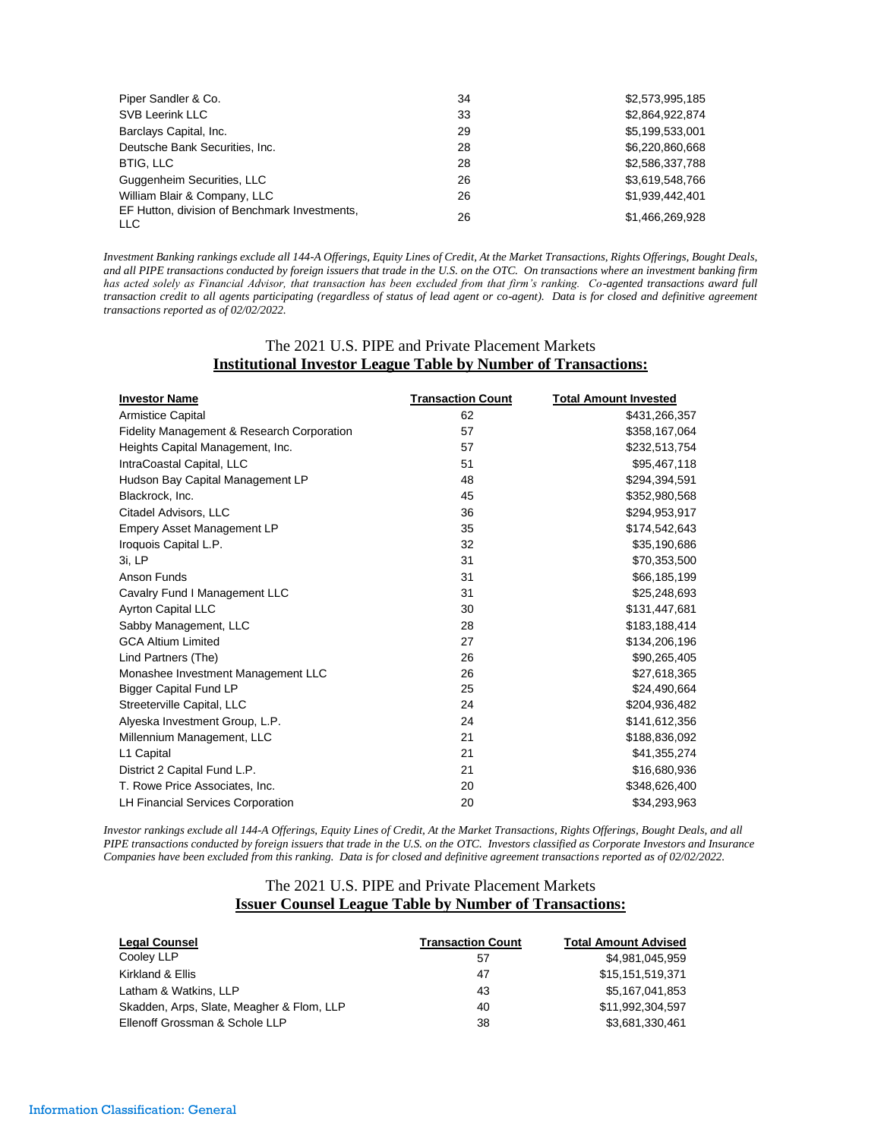| Piper Sandler & Co.                                  | 34 | \$2,573,995,185 |
|------------------------------------------------------|----|-----------------|
| <b>SVB Leerink LLC</b>                               | 33 | \$2,864,922,874 |
| Barclays Capital, Inc.                               | 29 | \$5,199,533,001 |
| Deutsche Bank Securities, Inc.                       | 28 | \$6,220,860,668 |
| <b>BTIG, LLC</b>                                     | 28 | \$2,586,337,788 |
| Guggenheim Securities, LLC                           | 26 | \$3,619,548,766 |
| William Blair & Company, LLC                         | 26 | \$1.939.442.401 |
| EF Hutton, division of Benchmark Investments,<br>LLC | 26 | \$1.466.269.928 |

*Investment Banking rankings exclude all 144-A Offerings, Equity Lines of Credit, At the Market Transactions, Rights Offerings, Bought Deals, and all PIPE transactions conducted by foreign issuers that trade in the U.S. on the OTC. On transactions where an investment banking firm has acted solely as Financial Advisor, that transaction has been excluded from that firm's ranking. Co-agented transactions award full transaction credit to all agents participating (regardless of status of lead agent or co-agent). Data is for closed and definitive agreement transactions reported as of 02/02/2022.*

### The 2021 U.S. PIPE and Private Placement Markets **Institutional Investor League Table by Number of Transactions:**

| <b>Investor Name</b>                       | <b>Transaction Count</b> | <b>Total Amount Invested</b> |
|--------------------------------------------|--------------------------|------------------------------|
| <b>Armistice Capital</b>                   | 62                       | \$431,266,357                |
| Fidelity Management & Research Corporation | 57                       | \$358,167,064                |
| Heights Capital Management, Inc.           | 57                       | \$232,513,754                |
| IntraCoastal Capital, LLC                  | 51                       | \$95,467,118                 |
| Hudson Bay Capital Management LP           | 48                       | \$294,394,591                |
| Blackrock, Inc.                            | 45                       | \$352,980,568                |
| Citadel Advisors, LLC                      | 36                       | \$294,953,917                |
| Empery Asset Management LP                 | 35                       | \$174,542,643                |
| Iroquois Capital L.P.                      | 32                       | \$35,190,686                 |
| 3i. LP                                     | 31                       | \$70,353,500                 |
| Anson Funds                                | 31                       | \$66,185,199                 |
| Cavalry Fund I Management LLC              | 31                       | \$25,248,693                 |
| <b>Ayrton Capital LLC</b>                  | 30                       | \$131,447,681                |
| Sabby Management, LLC                      | 28                       | \$183,188,414                |
| <b>GCA Altium Limited</b>                  | 27                       | \$134,206,196                |
| Lind Partners (The)                        | 26                       | \$90,265,405                 |
| Monashee Investment Management LLC         | 26                       | \$27,618,365                 |
| <b>Bigger Capital Fund LP</b>              | 25                       | \$24,490,664                 |
| Streeterville Capital, LLC                 | 24                       | \$204,936,482                |
| Alyeska Investment Group, L.P.             | 24                       | \$141,612,356                |
| Millennium Management, LLC                 | 21                       | \$188,836,092                |
| L1 Capital                                 | 21                       | \$41,355,274                 |
| District 2 Capital Fund L.P.               | 21                       | \$16,680,936                 |
| T. Rowe Price Associates, Inc.             | 20                       | \$348,626,400                |
| <b>LH Financial Services Corporation</b>   | 20                       | \$34,293,963                 |

*Investor rankings exclude all 144-A Offerings, Equity Lines of Credit, At the Market Transactions, Rights Offerings, Bought Deals, and all PIPE transactions conducted by foreign issuers that trade in the U.S. on the OTC. Investors classified as Corporate Investors and Insurance Companies have been excluded from this ranking. Data is for closed and definitive agreement transactions reported as of 02/02/2022.*

### The 2021 U.S. PIPE and Private Placement Markets **Issuer Counsel League Table by Number of Transactions:**

| <b>Legal Counsel</b>                      | <b>Transaction Count</b> | <b>Total Amount Advised</b> |
|-------------------------------------------|--------------------------|-----------------------------|
| Cooley LLP                                | 57                       | \$4.981.045.959             |
| Kirkland & Ellis                          | 47                       | \$15.151.519.371            |
| Latham & Watkins, LLP                     | 43                       | \$5.167.041.853             |
| Skadden, Arps, Slate, Meagher & Flom, LLP | 40                       | \$11.992.304.597            |
| Ellenoff Grossman & Schole LLP            | 38                       | \$3,681,330,461             |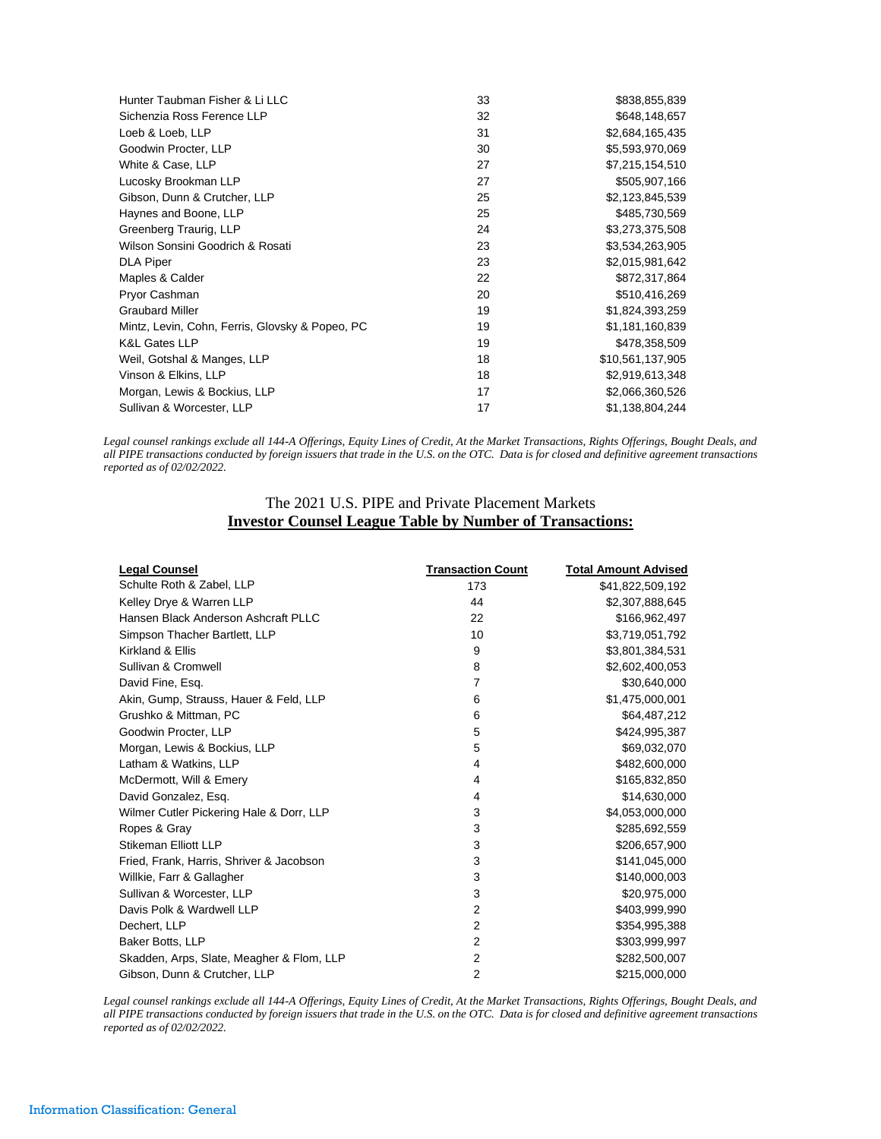| Hunter Taubman Fisher & Li LLC                  | 33 | \$838,855,839    |
|-------------------------------------------------|----|------------------|
| Sichenzia Ross Ference LLP                      | 32 | \$648,148,657    |
| Loeb & Loeb, LLP                                | 31 | \$2,684,165,435  |
| Goodwin Procter, LLP                            | 30 | \$5,593,970,069  |
| White & Case, LLP                               | 27 | \$7,215,154,510  |
| Lucosky Brookman LLP                            | 27 | \$505,907,166    |
| Gibson, Dunn & Crutcher, LLP                    | 25 | \$2,123,845,539  |
| Haynes and Boone, LLP                           | 25 | \$485,730,569    |
| Greenberg Traurig, LLP                          | 24 | \$3,273,375,508  |
| Wilson Sonsini Goodrich & Rosati                | 23 | \$3,534,263,905  |
| <b>DLA Piper</b>                                | 23 | \$2,015,981,642  |
| Maples & Calder                                 | 22 | \$872,317,864    |
| Pryor Cashman                                   | 20 | \$510,416,269    |
| <b>Graubard Miller</b>                          | 19 | \$1,824,393,259  |
| Mintz, Levin, Cohn, Ferris, Glovsky & Popeo, PC | 19 | \$1,181,160,839  |
| <b>K&amp;L Gates LLP</b>                        | 19 | \$478,358,509    |
| Weil, Gotshal & Manges, LLP                     | 18 | \$10,561,137,905 |
| Vinson & Elkins, LLP                            | 18 | \$2,919,613,348  |
| Morgan, Lewis & Bockius, LLP                    | 17 | \$2,066,360,526  |
| Sullivan & Worcester, LLP                       | 17 | \$1,138,804,244  |

*Legal counsel rankings exclude all 144-A Offerings, Equity Lines of Credit, At the Market Transactions, Rights Offerings, Bought Deals, and all PIPE transactions conducted by foreign issuers that trade in the U.S. on the OTC. Data is for closed and definitive agreement transactions reported as of 02/02/2022.*

# The 2021 U.S. PIPE and Private Placement Markets **Investor Counsel League Table by Number of Transactions:**

| <b>Legal Counsel</b>                      | <b>Transaction Count</b> | <b>Total Amount Advised</b> |
|-------------------------------------------|--------------------------|-----------------------------|
| Schulte Roth & Zabel, LLP                 | 173                      | \$41,822,509,192            |
| Kelley Drye & Warren LLP                  | 44                       | \$2,307,888,645             |
| Hansen Black Anderson Ashcraft PLLC       | 22                       | \$166,962,497               |
| Simpson Thacher Bartlett, LLP             | 10                       | \$3,719,051,792             |
| Kirkland & Ellis                          | 9                        | \$3,801,384,531             |
| Sullivan & Cromwell                       | 8                        | \$2,602,400,053             |
| David Fine, Esg.                          | 7                        | \$30,640,000                |
| Akin, Gump, Strauss, Hauer & Feld, LLP    | 6                        | \$1,475,000,001             |
| Grushko & Mittman, PC                     | 6                        | \$64,487,212                |
| Goodwin Procter, LLP                      | 5                        | \$424,995,387               |
| Morgan, Lewis & Bockius, LLP              | 5                        | \$69,032,070                |
| Latham & Watkins, LLP                     | 4                        | \$482,600,000               |
| McDermott, Will & Emery                   | 4                        | \$165,832,850               |
| David Gonzalez, Esq.                      | 4                        | \$14,630,000                |
| Wilmer Cutler Pickering Hale & Dorr, LLP  | 3                        | \$4,053,000,000             |
| Ropes & Gray                              | 3                        | \$285,692,559               |
| Stikeman Elliott LLP                      | 3                        | \$206,657,900               |
| Fried, Frank, Harris, Shriver & Jacobson  | 3                        | \$141,045,000               |
| Willkie, Farr & Gallagher                 | 3                        | \$140,000,003               |
| Sullivan & Worcester, LLP                 | 3                        | \$20,975,000                |
| Davis Polk & Wardwell LLP                 | $\overline{2}$           | \$403,999,990               |
| Dechert, LLP                              | 2                        | \$354,995,388               |
| Baker Botts, LLP                          | $\overline{2}$           | \$303,999,997               |
| Skadden, Arps, Slate, Meagher & Flom, LLP | 2                        | \$282,500,007               |
| Gibson, Dunn & Crutcher, LLP              | $\overline{2}$           | \$215,000,000               |

*Legal counsel rankings exclude all 144-A Offerings, Equity Lines of Credit, At the Market Transactions, Rights Offerings, Bought Deals, and all PIPE transactions conducted by foreign issuers that trade in the U.S. on the OTC. Data is for closed and definitive agreement transactions reported as of 02/02/2022.*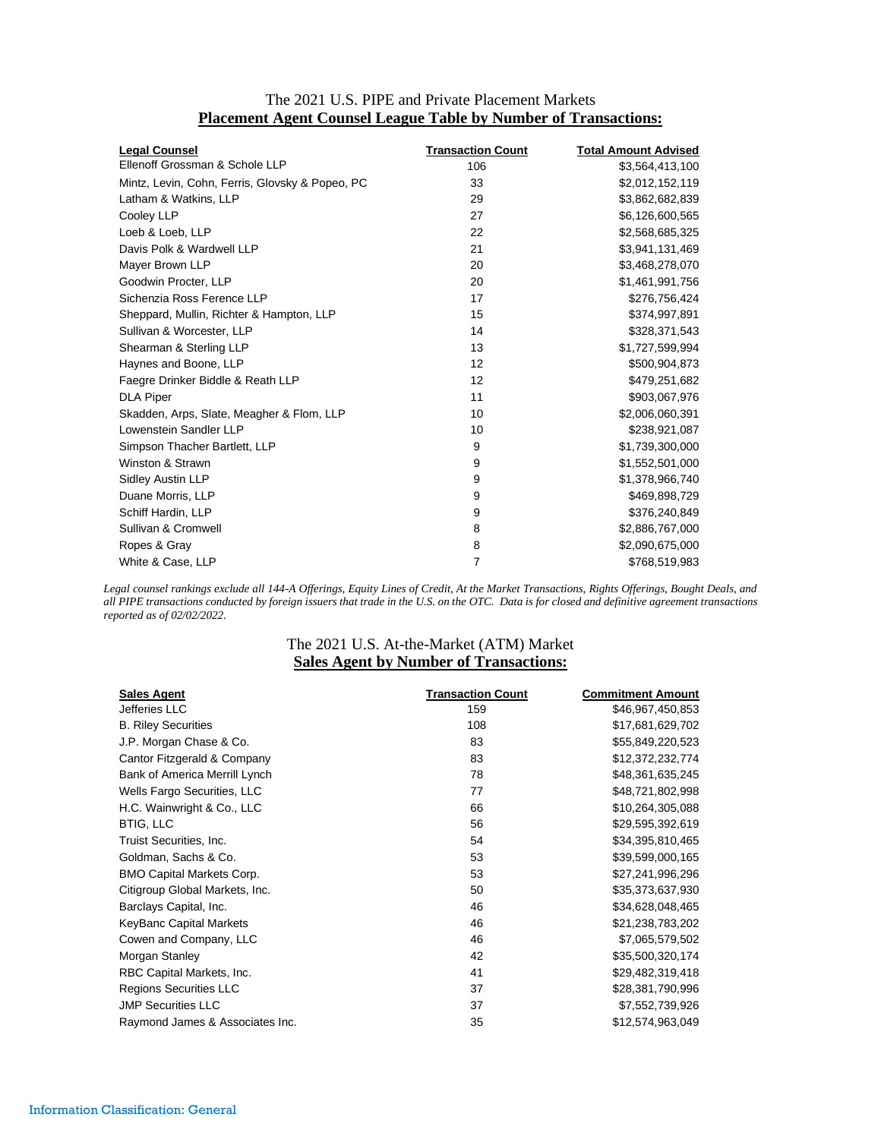| <b>Legal Counsel</b>                            | <b>Transaction Count</b> | <b>Total Amount Advised</b> |
|-------------------------------------------------|--------------------------|-----------------------------|
| Ellenoff Grossman & Schole LLP                  | 106                      | \$3,564,413,100             |
| Mintz, Levin, Cohn, Ferris, Glovsky & Popeo, PC | 33                       | \$2,012,152,119             |
| Latham & Watkins, LLP                           | 29                       | \$3,862,682,839             |
| Cooley LLP                                      | 27                       | \$6,126,600,565             |
| Loeb & Loeb, LLP                                | 22                       | \$2,568,685,325             |
| Davis Polk & Wardwell LLP                       | 21                       | \$3,941,131,469             |
| Mayer Brown LLP                                 | 20                       | \$3,468,278,070             |
| Goodwin Procter, LLP                            | 20                       | \$1,461,991,756             |
| Sichenzia Ross Ference LLP                      | 17                       | \$276,756,424               |
| Sheppard, Mullin, Richter & Hampton, LLP        | 15                       | \$374,997,891               |
| Sullivan & Worcester, LLP                       | 14                       | \$328,371,543               |
| Shearman & Sterling LLP                         | 13                       | \$1,727,599,994             |
| Haynes and Boone, LLP                           | 12                       | \$500,904,873               |
| Faegre Drinker Biddle & Reath LLP               | 12                       | \$479,251,682               |
| <b>DLA Piper</b>                                | 11                       | \$903,067,976               |
| Skadden, Arps, Slate, Meagher & Flom, LLP       | 10                       | \$2,006,060,391             |
| Lowenstein Sandler LLP                          | 10                       | \$238,921,087               |
| Simpson Thacher Bartlett, LLP                   | 9                        | \$1,739,300,000             |
| Winston & Strawn                                | 9                        | \$1,552,501,000             |
| Sidley Austin LLP                               | 9                        | \$1,378,966,740             |
| Duane Morris, LLP                               | 9                        | \$469,898,729               |
| Schiff Hardin, LLP                              | 9                        | \$376,240,849               |
| Sullivan & Cromwell                             | 8                        | \$2,886,767,000             |
| Ropes & Gray                                    | 8                        | \$2,090,675,000             |
| White & Case, LLP                               | $\overline{7}$           | \$768,519,983               |

### The 2021 U.S. PIPE and Private Placement Markets **Placement Agent Counsel League Table by Number of Transactions:**

*Legal counsel rankings exclude all 144-A Offerings, Equity Lines of Credit, At the Market Transactions, Rights Offerings, Bought Deals, and all PIPE transactions conducted by foreign issuers that trade in the U.S. on the OTC. Data is for closed and definitive agreement transactions reported as of 02/02/2022.*

# The 2021 U.S. At-the-Market (ATM) Market **Sales Agent by Number of Transactions:**

| <b>Sales Agent</b>               | <b>Transaction Count</b> | <b>Commitment Amount</b> |
|----------------------------------|--------------------------|--------------------------|
| Jefferies LLC                    | 159                      | \$46,967,450,853         |
| <b>B. Riley Securities</b>       | 108                      | \$17,681,629,702         |
| J.P. Morgan Chase & Co.          | 83                       | \$55,849,220,523         |
| Cantor Fitzgerald & Company      | 83                       | \$12,372,232,774         |
| Bank of America Merrill Lynch    | 78                       | \$48,361,635,245         |
| Wells Fargo Securities, LLC      | 77                       | \$48,721,802,998         |
| H.C. Wainwright & Co., LLC       | 66                       | \$10,264,305,088         |
| <b>BTIG, LLC</b>                 | 56                       | \$29,595,392,619         |
| Truist Securities, Inc.          | 54                       | \$34,395,810,465         |
| Goldman, Sachs & Co.             | 53                       | \$39,599,000,165         |
| <b>BMO Capital Markets Corp.</b> | 53                       | \$27,241,996,296         |
| Citigroup Global Markets, Inc.   | 50                       | \$35,373,637,930         |
| Barclays Capital, Inc.           | 46                       | \$34,628,048,465         |
| <b>KeyBanc Capital Markets</b>   | 46                       | \$21,238,783,202         |
| Cowen and Company, LLC           | 46                       | \$7,065,579,502          |
| Morgan Stanley                   | 42                       | \$35,500,320,174         |
| RBC Capital Markets, Inc.        | 41                       | \$29,482,319,418         |
| Regions Securities LLC           | 37                       | \$28,381,790,996         |
| <b>JMP Securities LLC</b>        | 37                       | \$7,552,739,926          |
| Raymond James & Associates Inc.  | 35                       | \$12,574,963,049         |